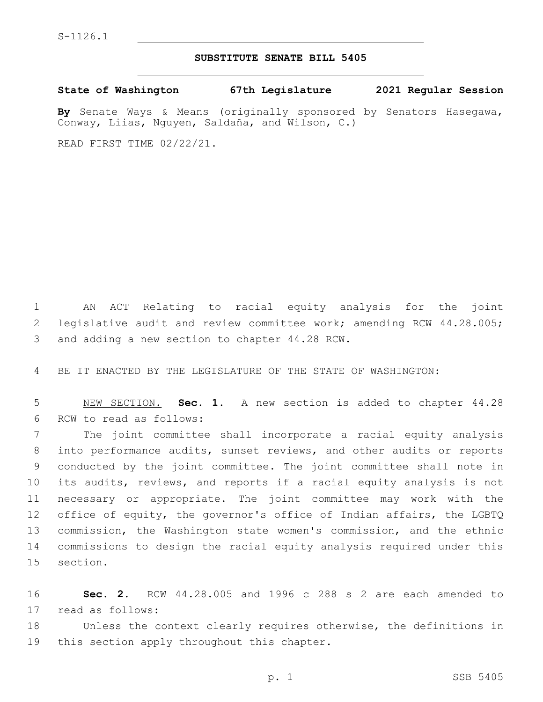## **SUBSTITUTE SENATE BILL 5405**

**State of Washington 67th Legislature 2021 Regular Session**

**By** Senate Ways & Means (originally sponsored by Senators Hasegawa, Conway, Liias, Nguyen, Saldaña, and Wilson, C.)

READ FIRST TIME 02/22/21.

1 AN ACT Relating to racial equity analysis for the joint 2 legislative audit and review committee work; amending RCW 44.28.005; 3 and adding a new section to chapter 44.28 RCW.

4 BE IT ENACTED BY THE LEGISLATURE OF THE STATE OF WASHINGTON:

5 NEW SECTION. **Sec. 1.** A new section is added to chapter 44.28 6 RCW to read as follows:

 The joint committee shall incorporate a racial equity analysis into performance audits, sunset reviews, and other audits or reports conducted by the joint committee. The joint committee shall note in its audits, reviews, and reports if a racial equity analysis is not necessary or appropriate. The joint committee may work with the 12 office of equity, the governor's office of Indian affairs, the LGBTQ commission, the Washington state women's commission, and the ethnic commissions to design the racial equity analysis required under this 15 section.

16 **Sec. 2.** RCW 44.28.005 and 1996 c 288 s 2 are each amended to 17 read as follows:

18 Unless the context clearly requires otherwise, the definitions in 19 this section apply throughout this chapter.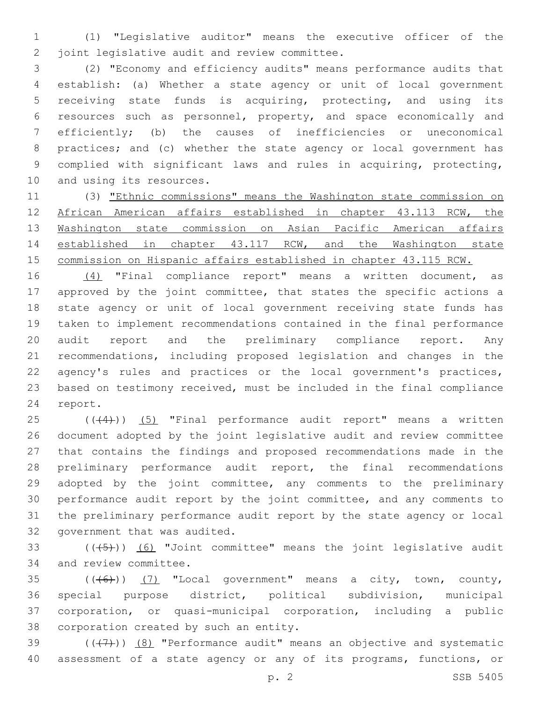(1) "Legislative auditor" means the executive officer of the 2 joint legislative audit and review committee.

 (2) "Economy and efficiency audits" means performance audits that establish: (a) Whether a state agency or unit of local government receiving state funds is acquiring, protecting, and using its resources such as personnel, property, and space economically and efficiently; (b) the causes of inefficiencies or uneconomical practices; and (c) whether the state agency or local government has complied with significant laws and rules in acquiring, protecting, 10 and using its resources.

 (3) "Ethnic commissions" means the Washington state commission on African American affairs established in chapter 43.113 RCW, the Washington state commission on Asian Pacific American affairs established in chapter 43.117 RCW, and the Washington state 15 commission on Hispanic affairs established in chapter 43.115 RCW.

 (4) "Final compliance report" means a written document, as approved by the joint committee, that states the specific actions a state agency or unit of local government receiving state funds has taken to implement recommendations contained in the final performance audit report and the preliminary compliance report. Any recommendations, including proposed legislation and changes in the 22 agency's rules and practices or the local government's practices, based on testimony received, must be included in the final compliance 24 report.

 ( $(44)$ )) (5) "Final performance audit report" means a written document adopted by the joint legislative audit and review committee that contains the findings and proposed recommendations made in the preliminary performance audit report, the final recommendations 29 adopted by the joint committee, any comments to the preliminary performance audit report by the joint committee, and any comments to the preliminary performance audit report by the state agency or local 32 government that was audited.

33  $((+5+))$   $(6)$  "Joint committee" means the joint legislative audit 34 and review committee.

 ( $(\overline{6})$ ) (7) "Local government" means a city, town, county, special purpose district, political subdivision, municipal corporation, or quasi-municipal corporation, including a public 38 corporation created by such an entity.

39  $((+7+))$   $(8)$  "Performance audit" means an objective and systematic assessment of a state agency or any of its programs, functions, or

p. 2 SSB 5405